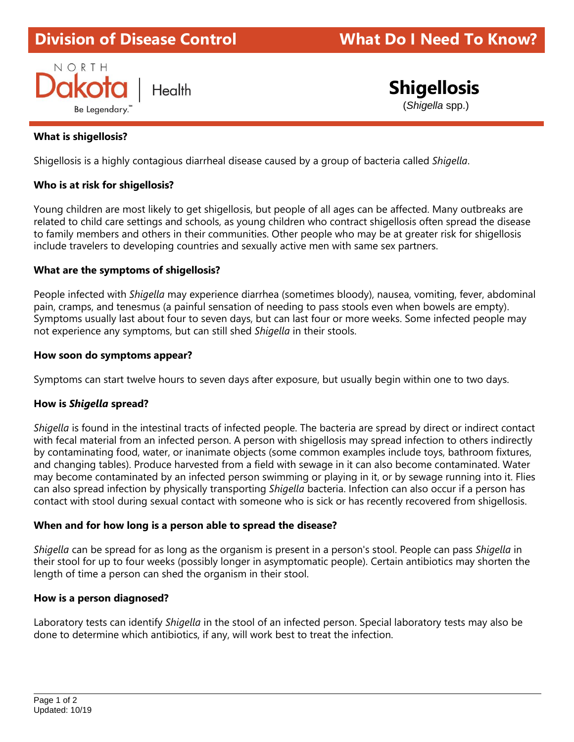# **Division of Disease Control What Do I Need To Know?**



# **Shigellosis**

(*Shigella* spp.)

# **What is shigellosis?**

Shigellosis is a highly contagious diarrheal disease caused by a group of bacteria called *Shigella*.

# **Who is at risk for shigellosis?**

Young children are most likely to get shigellosis, but people of all ages can be affected. Many outbreaks are related to child care settings and schools, as young children who contract shigellosis often spread the disease to family members and others in their communities. Other people who may be at greater risk for shigellosis include travelers to developing countries and sexually active men with same sex partners.

#### **What are the symptoms of shigellosis?**

People infected with *Shigella* may experience diarrhea (sometimes bloody), nausea, vomiting, fever, abdominal pain, cramps, and tenesmus (a painful sensation of needing to pass stools even when bowels are empty). Symptoms usually last about four to seven days, but can last four or more weeks. Some infected people may not experience any symptoms, but can still shed *Shigella* in their stools.

#### **How soon do symptoms appear?**

Symptoms can start twelve hours to seven days after exposure, but usually begin within one to two days.

#### **How is** *Shigella* **spread?**

*Shigella* is found in the intestinal tracts of infected people. The bacteria are spread by direct or indirect contact with fecal material from an infected person. A person with shigellosis may spread infection to others indirectly by contaminating food, water, or inanimate objects (some common examples include toys, bathroom fixtures, and changing tables). Produce harvested from a field with sewage in it can also become contaminated. Water may become contaminated by an infected person swimming or playing in it, or by sewage running into it. Flies can also spread infection by physically transporting *Shigella* bacteria. Infection can also occur if a person has contact with stool during sexual contact with someone who is sick or has recently recovered from shigellosis.

#### **When and for how long is a person able to spread the disease?**

*Shigella* can be spread for as long as the organism is present in a person's stool. People can pass *Shigella* in their stool for up to four weeks (possibly longer in asymptomatic people). Certain antibiotics may shorten the length of time a person can shed the organism in their stool.

#### **How is a person diagnosed?**

Laboratory tests can identify *Shigella* in the stool of an infected person. Special laboratory tests may also be done to determine which antibiotics, if any, will work best to treat the infection.